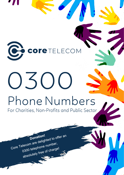

# $SOC$ Phone Numbers

For Charities, Non-Profits and Public Sector

Core Telecom are delighted to offer an Donation! 0300 telephone number, absolutely free of charge!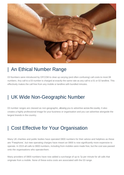

# | An Ethical Number Range

03 Numbers were introduced by OFCOM to clear up varying (and often confusing) call costs to most 08 numbers. Any call to a 03 number is charged at exactly the same rate as any call to a 01 or 02 landline. This effectively makes the call free from any mobile or landline with bundled minutes.

# | UK Wide Non-Geographic Number

03 number ranges are classed as non-geographic, allowing you to advertise across the country. It also creates a highly professional image for your business or organisation and you can advertise alongside the largest brands in the country.

## | Cost Effective for Your Organisation

Many UK charities and public bodies have operated 0800 numbers for their advice and helplines as these are 'Freephone', but new operating charges have meant an 0800 is now significantly more expensive to operate. In 2015 all calls to 0800 numbers, including from mobiles were made free, but the cost was passed onto the organisations who operate them.

Many providers of 0800 numbers have now added a surcharge of up to 7p per minute for all calls that originate from a mobile. None of these extra costs are associated with the 03 range.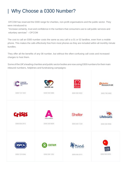# | Why Choose a 0300 Number?

OFCOM has reserved the 0300 range for charities, non-profit organisations and the public sector. They were introduced to:

"Increase certainty, trust and confidence in the numbers that consumers use to call public services and voluntary services" – OFCOM

The cost to call an 0300 number costs the same as any call to a 01 or 02 landline, even from a mobile phone. This makes the calls effectively free from most phones as they are included within all monthly minute bundles.

They offer all the benefits of any 08 number, but without the often-confusing call costs and increased charges to host them.

Some of the UK's leading charities and public sector bodies are now using 0300 numbers for their main inbound numbers, helplines and fundraising campaigns:

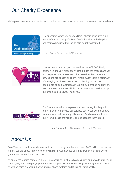# **Our Charity Experience**

We're proud to work with some fantastic charities who are delighted with our service and dedicated team:



.

The support of companies such as Core Telecom helps us to make a real difference to people's lives. Core's donation of the helpline and their wider support for the Trust is warmly welcomed.

Barrie Oldham, Chief Executive



I just wanted to say that your service has been GREAT. Really helpful from the very first enquiry right through the process and your fast response. We've been really impressed by the answering service and are already finding the virtual switchboard a better way of managing our limited resources by directing calls to the appropriate person automatically. We are sure that as we grow and use the system more, we will find more ways of utilising it to support our charitable objectives. Thank you.



Our 03 number helps us to provide a low-cost way for the public to get in touch and access our services easily. We want to ensure we are able to help as many children and families as possible so our incoming calls are vital to letting us speak to them directly.

- Tony Curtis MBE – Chairman – Dreams & Wishes

## | About Us

Core Telecom is an independent network which currently handles in excess of 400 million minutes per annum. We are directly interconnected with BT through a series of IP and fixed connections which guarantees our service and security.

As one of the leading carriers in the UK, we specialise in inbound call solutions and provide a full range of non-geographic and geographic numbers, coupled with industry leading call management solutions. As well as being a leader in hosted internal phone systems and Bulk SMS functionality.